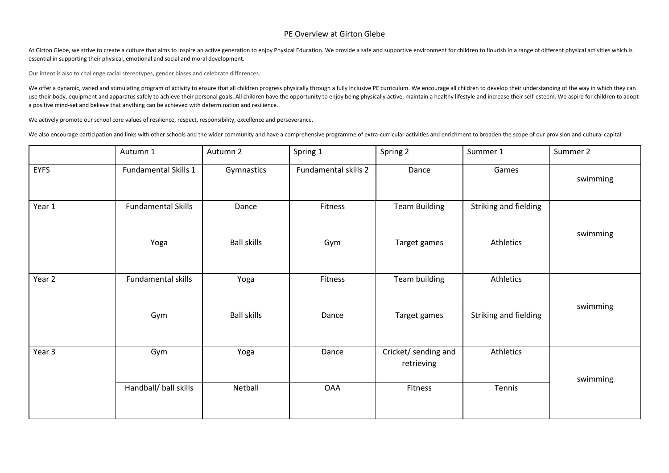## PE Overview at Girton Glebe

At Girton Glebe, we strive to create a culture that aims to inspire an active generation to enjoy Physical Education. We provide a safe and supportive environment for children to flourish in a range of different physical a essential in supporting their physical, emotional and social and moral development.

Our intent is also to challenge racial stereotypes, gender biases and celebrate differences.

We offer a dynamic, varied and stimulating program of activity to ensure that all children progress physically through a fully inclusive PE curriculum. We encourage all children to develop their understanding of the way in use their body, equipment and apparatus safely to achieve their personal goals. All children have the opportunity to enjoy being physically active, maintain a healthy lifestyle and increase their self-esteem. We aspire for a positive mind-set and believe that anything can be achieved with determination and resilience.

We actively promote our school core values of resilience, respect, responsibility, excellence and perseverance.

We also encourage participation and links with other schools and the wider community and have a comprehensive programme of extra-curricular activities and enrichment to broaden the scope of our provision and cultural capit

|                   | Autumn 1                  | Autumn 2           | Spring 1             | Spring 2                           | Summer 1              | Summer 2 |
|-------------------|---------------------------|--------------------|----------------------|------------------------------------|-----------------------|----------|
| <b>EYFS</b>       | Fundamental Skills 1      | Gymnastics         | Fundamental skills 2 | Dance                              | Games                 | swimming |
| Year 1            | <b>Fundamental Skills</b> | Dance              | Fitness              | <b>Team Building</b>               | Striking and fielding | swimming |
|                   | Yoga                      | <b>Ball skills</b> | Gym                  | Target games                       | Athletics             |          |
| Year 2            | Fundamental skills        | Yoga               | Fitness              | Team building                      | Athletics             | swimming |
|                   | Gym                       | <b>Ball skills</b> | Dance                | Target games                       | Striking and fielding |          |
| Year <sub>3</sub> | Gym                       | Yoga               | Dance                | Cricket/ sending and<br>retrieving | Athletics             | swimming |
|                   | Handball/ ball skills     | Netball            | <b>OAA</b>           | Fitness                            | Tennis                |          |